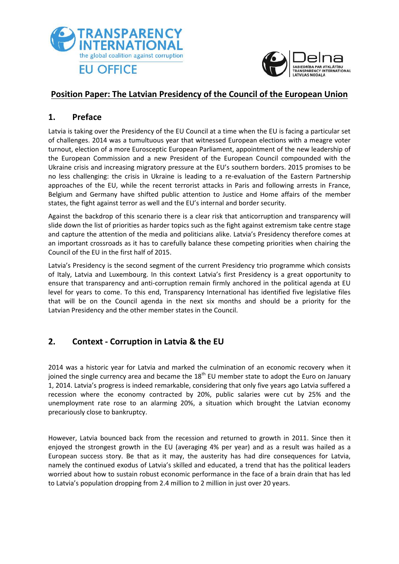



### **Position Paper: The Latvian Presidency of the Council of the European Union**

### **1. Preface**

Latvia is taking over the Presidency of the EU Council at a time when the EU is facing a particular set of challenges. 2014 was a tumultuous year that witnessed European elections with a meagre voter turnout, election of a more Eurosceptic European Parliament, appointment of the new leadership of the European Commission and a new President of the European Council compounded with the Ukraine crisis and increasing migratory pressure at the EU's southern borders. 2015 promises to be no less challenging: the crisis in Ukraine is leading to a re-evaluation of the Eastern Partnership approaches of the EU, while the recent terrorist attacks in Paris and following arrests in France, Belgium and Germany have shifted public attention to Justice and Home affairs of the member states, the fight against terror as well and the EU's internal and border security.

Against the backdrop of this scenario there is a clear risk that anticorruption and transparency will slide down the list of priorities as harder topics such as the fight against extremism take centre stage and capture the attention of the media and politicians alike. Latvia's Presidency therefore comes at an important crossroads as it has to carefully balance these competing priorities when chairing the Council of the EU in the first half of 2015.

Latvia's Presidency is the second segment of the current Presidency trio programme which consists of Italy, Latvia and Luxembourg. In this context Latvia's first Presidency is a great opportunity to ensure that transparency and anti-corruption remain firmly anchored in the political agenda at EU level for years to come. To this end, Transparency International has identified five legislative files that will be on the Council agenda in the next six months and should be a priority for the Latvian Presidency and the other member states in the Council.

### **2. Context - Corruption in Latvia & the EU**

2014 was a historic year for Latvia and marked the culmination of an economic recovery when it joined the single currency area and became the  $18<sup>th</sup>$  EU member state to adopt the Euro on January 1, 2014. Latvia's progress is indeed remarkable, considering that only five years ago Latvia suffered a recession where the economy contracted by 20%, public salaries were cut by 25% and the unemployment rate rose to an alarming 20%, a situation which brought the Latvian economy precariously close to bankruptcy.

However, Latvia bounced back from the recession and returned to growth in 2011. Since then it enjoyed the strongest growth in the EU (averaging 4% per year) and as a result was hailed as a European success story. Be that as it may, the austerity has had dire consequences for Latvia, namely the continued exodus of Latvia's skilled and educated, a trend that has the political leaders worried about how to sustain robust economic performance in the face of a brain drain that has led to Latvia's population dropping from 2.4 million to 2 million in just over 20 years.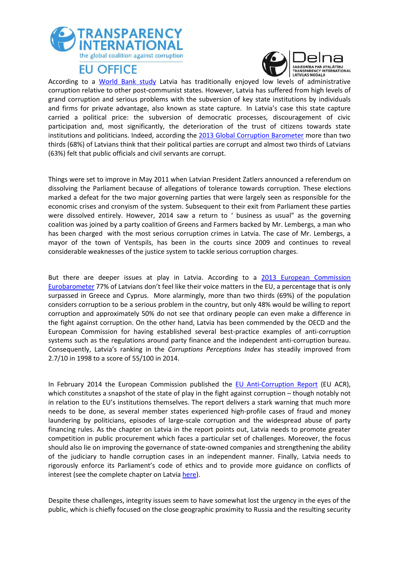



According to a World [Bank study](http://www.knab.gov.lv/uploads/eng/policy_note_id215.pdf) Latvia has traditionally enjoyed low levels of administrative corruption relative to other post-communist states. However, Latvia has suffered from high levels of grand corruption and serious problems with the subversion of key state institutions by individuals and firms for private advantage, also known as state capture. In Latvia's case this state capture carried a political price: the subversion of democratic processes, discouragement of civic participation and, most significantly, the deterioration of the trust of citizens towards state institutions and politicians. Indeed, according the [2013 Global Corruption Barometer](http://www.transparency.org/gcb2013/country/?country=latvia) more than two thirds (68%) of Latvians think that their political parties are corrupt and almost two thirds of Latvians (63%) felt that public officials and civil servants are corrupt.

Things were set to improve in May 2011 when Latvian President Zatlers announced a referendum on dissolving the Parliament because of allegations of tolerance towards corruption. These elections marked a defeat for the two major governing parties that were largely seen as responsible for the economic crises and cronyism of the system. Subsequent to their exit from Parliament these parties were dissolved entirely. However, 2014 saw a return to ' business as usual" as the governing coalition was joined by a party coalition of Greens and Farmers backed by Mr. Lembergs, a man who has been charged with the most serious corruption crimes in Latvia. The case of Mr. Lembergs, a mayor of the town of Ventspils, has been in the courts since 2009 and continues to reveal considerable weaknesses of the justice system to tackle serious corruption charges.

But there are deeper issues at play in Latvia. According to a [2013 European Commission](http://ec.europa.eu/public_opinion/archives/eb/eb80/eb80_first_en.pdf)  [Eurobarometer](http://ec.europa.eu/public_opinion/archives/eb/eb80/eb80_first_en.pdf) 77% of Latvians don't feel like their voice matters in the EU, a percentage that is only surpassed in Greece and Cyprus. More alarmingly, more than two thirds (69%) of the population considers corruption to be a serious problem in the country, but only 48% would be willing to report corruption and approximately 50% do not see that ordinary people can even make a difference in the fight against corruption. On the other hand, Latvia has been commended by the OECD and the European Commission for having established several best-practice examples of anti-corruption systems such as the regulations around party finance and the independent anti-corruption bureau. Consequently, Latvia's ranking in the *Corruptions Perceptions Index* has steadily improved from 2.7/10 in 1998 to a score of 55/100 in 2014.

In February 2014 the European Commission published the [EU Anti-Corruption Report](http://ec.europa.eu/dgs/home-affairs/e-library/documents/policies/organized-crime-and-human-trafficking/corruption/docs/acr_2014_en.pdf) (EU ACR), which constitutes a snapshot of the state of play in the fight against corruption – though notably not in relation to the EU's institutions themselves. The report delivers a stark warning that much more needs to be done, as several member states experienced high-profile cases of fraud and money laundering by politicians, episodes of large-scale corruption and the widespread abuse of party financing rules. As the chapter on Latvia in the report points out, Latvia needs to promote greater competition in public procurement which faces a particular set of challenges. Moreover, the focus should also lie on improving the governance of state-owned companies and strengthening the ability of the judiciary to handle corruption cases in an independent manner. Finally, Latvia needs to rigorously enforce its Parliament's code of ethics and to provide more guidance on conflicts of interest (see the complete chapter on Latvia [here\)](http://ec.europa.eu/dgs/home-affairs/what-we-do/policies/organized-crime-and-human-trafficking/corruption/anti-corruption-report/docs/2014_acr_latvia_chapter_en.pdf).

Despite these challenges, integrity issues seem to have somewhat lost the urgency in the eyes of the public, which is chiefly focused on the close geographic proximity to Russia and the resulting security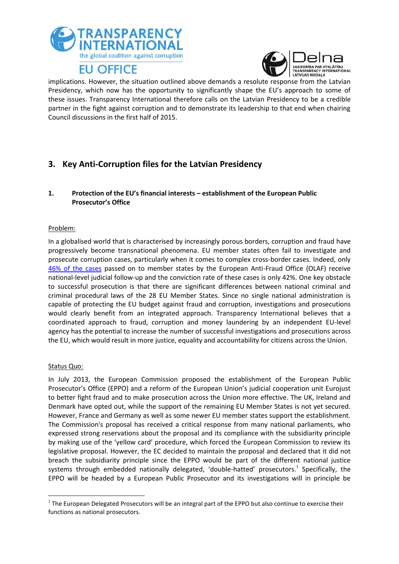



implications. However, the situation outlined above demands a resolute response from the Latvian Presidency, which now has the opportunity to significantly shape the EU's approach to some of these issues. Transparency International therefore calls on the Latvian Presidency to be a credible partner in the fight against corruption and to demonstrate its leadership to that end when chairing Council discussions in the first half of 2015.

## **3. Key Anti-Corruption files for the Latvian Presidency**

### **1. Protection of the EU's financial interests – establishment of the European Public Prosecutor's Office**

### Problem:

In a globalised world that is characterised by increasingly porous borders, corruption and fraud have progressively become transnational phenomena. EU member states often fail to investigate and prosecute corruption cases, particularly when it comes to complex cross-border cases. Indeed, only [46% of the cases](http://www.out-law.com/en/articles/2014/april/number-of-european-anti-fraud-office-investigations-rise-to-recrod-by-58-in-five-years-to-record-levels-/) passed on to member states by the European Anti-Fraud Office (OLAF) receive national-level judicial follow-up and the conviction rate of these cases is only 42%. One key obstacle to successful prosecution is that there are significant differences between national criminal and criminal procedural laws of the 28 EU Member States. Since no single national administration is capable of protecting the EU budget against fraud and corruption, investigations and prosecutions would clearly benefit from an integrated approach. Transparency International believes that a coordinated approach to fraud, corruption and money laundering by an independent EU-level agency has the potential to increase the number of successful investigations and prosecutions across the EU, which would result in more justice, equality and accountability for citizens across the Union.

#### Status Quo:

1

In July 2013, the European Commission proposed the establishment of the European Public Prosecutor's Office (EPPO) and a reform of the European Union's judicial cooperation unit Eurojust to better fight fraud and to make prosecution across the Union more effective. The UK, Ireland and Denmark have opted out, while the support of the remaining EU Member States is not yet secured. However, France and Germany as well as some newer EU member states support the establishment. The Commission's proposal has received a critical response from many national parliaments, who expressed strong reservations about the proposal and its compliance with the subsidiarity principle by making use of the 'yellow card' procedure, which forced the European Commission to review its legislative proposal. However, the EC decided to maintain the proposal and declared that it did not breach the subsidiarity principle since the EPPO would be part of the different national justice systems through embedded nationally delegated, 'double-hatted' prosecutors.<sup>1</sup> Specifically, the EPPO will be headed by a European Public Prosecutor and its investigations will in principle be

 $1$  The European Delegated Prosecutors will be an integral part of the EPPO but also continue to exercise their functions as national prosecutors.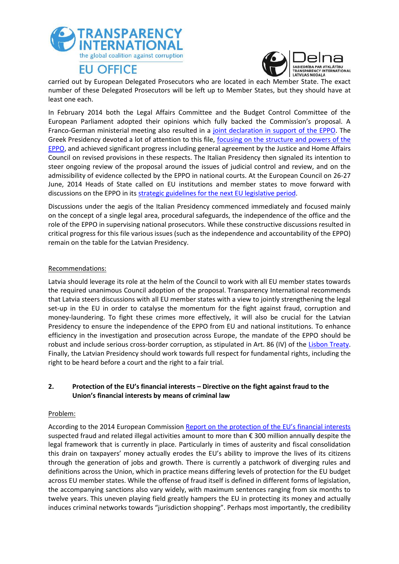



carried out by European Delegated Prosecutors who are located in each Member State. The exact number of these Delegated Prosecutors will be left up to Member States, but they should have at least one each.

In February 2014 both the Legal Affairs Committee and the Budget Control Committee of the European Parliament adopted their opinions which fully backed the Commission's proposal. A Franco-German ministerial meeting also resulted in a [joint declaration in support of the EPPO.](http://www.bmjv.de/SharedDocs/Downloads/DE/pdfs/Gemeinsame_Erklaerung_der_franz_JuMin_und_des_deutschen_JuMin.pdf;jsessionid=8FB744E4488FE176CD2DE2377A19B6A4.1_cid289?__blob=publicationFile) The Greek Presidency devoted a lot of attention to this file, focusing on the structure and powers of the [EPPO,](http://register.consilium.europa.eu/doc/srv?l=EN&f=ST%209834%202014%20REV%201) and achieved significant progress including general agreement by the Justice and Home Affairs Council on revised provisions in these respects. The Italian Presidency then signaled its intention to steer ongoing review of the proposal around the issues of judicial control and review, and on the admissibility of evidence collected by the EPPO in national courts. At the European Council on 26-27 June, 2014 Heads of State called on EU institutions and member states to move forward with discussions on the EPPO in its [strategic guidelines for the next EU legislative period.](http://register.consilium.europa.eu/doc/srv?l=EN&f=ST%2079%202014%20INIT)

Discussions under the aegis of the Italian Presidency commenced immediately and focused mainly on the concept of a single legal area, procedural safeguards, the independence of the office and the role of the EPPO in supervising national prosecutors. While these constructive discussions resulted in critical progress for this file various issues (such as the independence and accountability of the EPPO) remain on the table for the Latvian Presidency.

#### Recommendations:

Latvia should leverage its role at the helm of the Council to work with all EU member states towards the required unanimous Council adoption of the proposal. Transparency International recommends that Latvia steers discussions with all EU member states with a view to jointly strengthening the legal set-up in the EU in order to catalyse the momentum for the fight against fraud, corruption and money-laundering. To fight these crimes more effectively, it will also be crucial for the Latvian Presidency to ensure the independence of the EPPO from EU and national institutions. To enhance efficiency in the investigation and prosecution across Europe, the mandate of the EPPO should be robust and include serious cross-border corruption, as stipulated in Art. 86 (IV) of the [Lisbon Treaty.](http://eur-lex.europa.eu/legal-content/EN/TXT/PDF/?uri=OJ:C:2007:306:FULL&from=EN) Finally, the Latvian Presidency should work towards full respect for fundamental rights, including the right to be heard before a court and the right to a fair trial.

### **2. Protection of the EU's financial interests – Directive on the fight against fraud to the Union's financial interests by means of criminal law**

### Problem:

According to the 2014 European Commission [Report on the protection of the EU's financial interests](http://ec.europa.eu/anti_fraud/documents/reports-commission/2013/1_act_part1_en.pdf) suspected fraud and related illegal activities amount to more than € 300 million annually despite the legal framework that is currently in place. Particularly in times of austerity and fiscal consolidation this drain on taxpayers' money actually erodes the EU's ability to improve the lives of its citizens through the generation of jobs and growth. There is currently a patchwork of diverging rules and definitions across the Union, which in practice means differing levels of protection for the EU budget across EU member states. While the offense of fraud itself is defined in different forms of legislation, the accompanying sanctions also vary widely, with maximum sentences ranging from six months to twelve years. This uneven playing field greatly hampers the EU in protecting its money and actually induces criminal networks towards "jurisdiction shopping". Perhaps most importantly, the credibility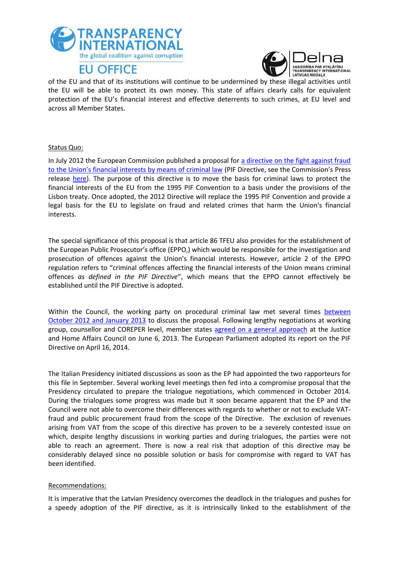



of the EU and that of its institutions will continue to be undermined by these illegal activities until the EU will be able to protect its own money. This state of affairs clearly calls for equivalent protection of the EU's financial interest and effective deterrents to such crimes, at EU level and across all Member States.

#### Status Quo:

In July 2012 the European Commission published a proposal for a directive on the fight against fraud [to the Union's financial interests by means of criminal law](http://db.eurocrim.org/db/en/doc/1784.pdf) (PIF Directive, see the Commission's Press release [here\)](http://europa.eu/rapid/press-release_IP-12-767_en.htm?locale=en). The purpose of this directive is to move the basis for criminal laws to protect the financial interests of the EU from the 1995 PIF Convention to a basis under the provisions of the Lisbon treaty. Once adopted, the 2012 Directive will replace the 1995 PIF Convention and provide a legal basis for the EU to legislate on fraud and related crimes that harm the Union's financial interests.

The special significance of this proposal is that article 86 TFEU also provides for the establishment of the European Public Prosecutor's office (EPPO,) which would be responsible for the investigation and prosecution of offences against the Union's financial interests. However, article 2 of the EPPO regulation refers to "criminal offences affecting the financial interests of the Union means criminal offences *as defined in the PIF Directive*", which means that the EPPO cannot effectively be established until the PIF Directive is adopted.

Within the Council, the working party on procedural criminal law met several times [between](http://register.consilium.europa.eu/doc/srv?l=EN&f=ST%206284%202013%20INIT)  [October 2012 and January 2013](http://register.consilium.europa.eu/doc/srv?l=EN&f=ST%206284%202013%20INIT) to discuss the proposal. Following lengthy negotiations at working group, counsellor and COREPER level, member states [agreed on a general approach](http://www.consilium.europa.eu/uedocs/cms_data/docs/pressdata/en/jha/137407.pdf) at the Justice and Home Affairs Council on June 6, 2013. The European Parliament adopted its report on the PIF Directive on April 16, 2014.

The Italian Presidency initiated discussions as soon as the EP had appointed the two rapporteurs for this file in September. Several working level meetings then fed into a compromise proposal that the Presidency circulated to prepare the trialogue negotiations, which commenced in October 2014. During the trialogues some progress was made but it soon became apparent that the EP and the Council were not able to overcome their differences with regards to whether or not to exclude VATfraud and public procurement fraud from the scope of the Directive. The exclusion of revenues arising from VAT from the scope of this directive has proven to be a severely contested issue on which, despite lengthy discussions in working parties and during trialogues, the parties were not able to reach an agreement. There is now a real risk that adoption of this directive may be considerably delayed since no possible solution or basis for compromise with regard to VAT has been identified.

#### Recommendations:

It is imperative that the Latvian Presidency overcomes the deadlock in the trialogues and pushes for a speedy adoption of the PIF directive, as it is intrinsically linked to the establishment of the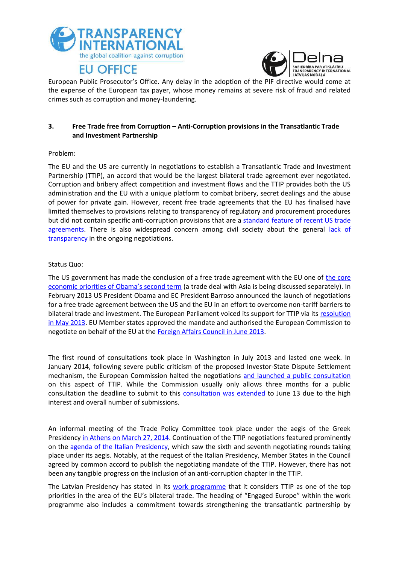



European Public Prosecutor's Office. Any delay in the adoption of the PIF directive would come at the expense of the European tax payer, whose money remains at severe risk of fraud and related crimes such as corruption and money-laundering.

### **3. Free Trade free from Corruption – Anti-Corruption provisions in the Transatlantic Trade and Investment Partnership**

#### Problem:

The EU and the US are currently in negotiations to establish a Transatlantic Trade and Investment Partnership (TTIP), an accord that would be the largest bilateral trade agreement ever negotiated. Corruption and bribery affect competition and investment flows and the TTIP provides both the US administration and the EU with a unique platform to combat bribery, secret dealings and the abuse of power for private gain. However, recent free trade agreements that the EU has finalised have limited themselves to provisions relating to transparency of regulatory and procurement procedures but did not contain specific anti-corruption provisions that are a [standard feature of recent US trade](http://www.oecd.org/daf/inv/investment-policy/40471550.pdf)  [agreements.](http://www.oecd.org/daf/inv/investment-policy/40471550.pdf) There is also widespread concern among civil society about the general [lack of](http://www.transparencyinternational.eu/wp-content/uploads/2014/07/foee_joint_ttip-transparency-call_march2014.pdf)  [transparency](http://www.transparencyinternational.eu/wp-content/uploads/2014/07/foee_joint_ttip-transparency-call_march2014.pdf) in the ongoing negotiations.

#### Status Quo:

The US government has made the conclusion of a free trade agreement with the EU one of [the core](http://www.europeanpublicaffairs.eu/obama-administration-adds-ttip-to-to-do-list/)  [economic priorities of Obama's second term](http://www.europeanpublicaffairs.eu/obama-administration-adds-ttip-to-to-do-list/) (a trade deal with Asia is being discussed separately). In February 2013 US President Obama and EC President Barroso announced the launch of negotiations for a free trade agreement between the US and the EU in an effort to overcome non-tariff barriers to bilateral trade and investment. The European Parliament voiced its support for TTIP via its [resolution](http://www.europarl.europa.eu/sides/getDoc.do?type=MOTION&reference=B7-2013-187&language=EN)  [in May 2013.](http://www.europarl.europa.eu/sides/getDoc.do?type=MOTION&reference=B7-2013-187&language=EN) EU Member states approved the mandate and authorised the European Commission to negotiate on behalf of the EU at the [Foreign Affairs Council in June 2013.](http://www.consilium.europa.eu/uedocs/cms_Data/docs/pressdata/EN/foraff/137486.pdf)

The first round of consultations took place in Washington in July 2013 and lasted one week. In January 2014, following severe public criticism of the proposed Investor-State Dispute Settlement mechanism, the European Commission halted the negotiations [and launched a public consultation](http://europa.eu/rapid/press-release_IP-14-56_en.htm) on this aspect of TTIP. While the Commission usually only allows three months for a public consultation the deadline to submit to this [consultation was extended](http://trade.ec.europa.eu/consultations/index.cfm?consul_id=179) to June 13 due to the high interest and overall number of submissions.

An informal meeting of the Trade Policy Committee took place under the aegis of the Greek Presidency [in Athens on March 27, 2014.](http://gr2014.eu/events/expert-meetings/informal-meeting-trade-policy-committeefull-members) Continuation of the TTIP negotiations featured prominently on the [agenda of the Italian Presidency,](http://italia2014.eu/media/1227/programma-en1-def.pdf) which saw the sixth and seventh negotiating rounds taking place under its aegis. Notably, at the request of the Italian Presidency, Member States in the Council agreed by common accord to publish the negotiating mandate of the TTIP. However, there has not been any tangible progress on the inclusion of an anti-corruption chapter in the TTIP.

The Latvian Presidency has stated in its [work programme](http://www.es2015.lv/images/PRES_prog_2015_EN-final.pdf) that it considers TTIP as one of the top priorities in the area of the EU's bilateral trade. The heading of "Engaged Europe" within the work programme also includes a commitment towards strengthening the transatlantic partnership by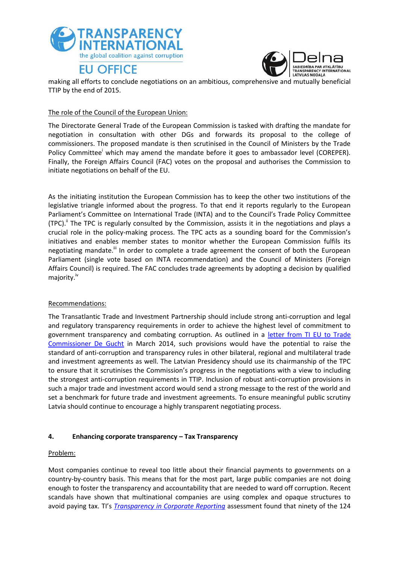



making all efforts to conclude negotiations on an ambitious, comprehensive and mutually beneficial TTIP by the end of 2015.

#### The role of the Council of the European Union:

The Directorate General Trade of the European Commission is tasked with drafting the mandate for negotiation in consultation with other DGs and forwards its proposal to the college of commissioners. The proposed mandate is then scrutinised in the Council of Ministers by the Trade Policy Committee<sup>i</sup> which may amend the mandate before it goes to ambassador level (COREPER). Finally, the Foreign Affairs Council (FAC) votes on the proposal and authorises the Commission to initiate negotiations on behalf of the EU.

As the initiating institution the European Commission has to keep the other two institutions of the legislative triangle informed about the progress. To that end it reports regularly to the European Parliament's Committee on International Trade (INTA) and to the Council's Trade Policy Committee (TPC).<sup>ii</sup> The TPC is regularly consulted by the Commission, assists it in the negotiations and plays a crucial role in the policy-making process. The TPC acts as a sounding board for the Commission's initiatives and enables member states to monitor whether the European Commission fulfils its negotiating mandate.<sup>iii</sup> In order to complete a trade agreement the consent of both the European Parliament (single vote based on INTA recommendation) and the Council of Ministers (Foreign Affairs Council) is required. The FAC concludes trade agreements by adopting a decision by qualified majority.<sup>iv</sup>

### Recommendations:

The Transatlantic Trade and Investment Partnership should include strong anti-corruption and legal and regulatory transparency requirements in order to achieve the highest level of commitment to government transparency and combating corruption. As outlined in a [letter from TI EU to Trade](http://www.transparencyinternational.eu/wp-content/uploads/2014/03/2014-03-07_TI_Letter-to-Karel-de-Gucht-FINAL-doc.pdf)  [Commissioner De Gucht](http://www.transparencyinternational.eu/wp-content/uploads/2014/03/2014-03-07_TI_Letter-to-Karel-de-Gucht-FINAL-doc.pdf) in March 2014, such provisions would have the potential to raise the standard of anti-corruption and transparency rules in other bilateral, regional and multilateral trade and investment agreements as well. The Latvian Presidency should use its chairmanship of the TPC to ensure that it scrutinises the Commission's progress in the negotiations with a view to including the strongest anti-corruption requirements in TTIP. Inclusion of robust anti-corruption provisions in such a major trade and investment accord would send a strong message to the rest of the world and set a benchmark for future trade and investment agreements. To ensure meaningful public scrutiny Latvia should continue to encourage a highly transparent negotiating process.

### **4. Enhancing corporate transparency – Tax Transparency**

#### Problem:

Most companies continue to reveal too little about their financial payments to governments on a country-by-country basis. This means that for the most part, large public companies are not doing enough to foster the transparency and accountability that are needed to ward off corruption. Recent scandals have shown that multinational companies are using complex and opaque structures to avoid paying tax. TI's *[Transparency in Corporate Reporting](http://www.transparency.org/whatwedo/publication/transparency_in_corporate_reporting_assessing_worlds_largest_companies_2014)* assessment found that ninety of the 124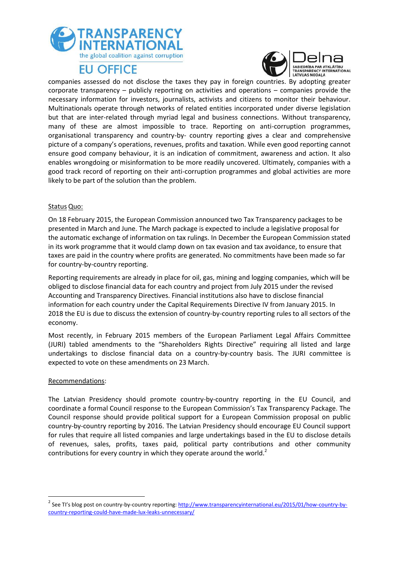



companies assessed do not disclose the taxes they pay in foreign countries. By adopting greater corporate transparency – publicly reporting on activities and operations – companies provide the necessary information for investors, journalists, activists and citizens to monitor their behaviour. Multinationals operate through networks of related entities incorporated under diverse legislation but that are inter-related through myriad legal and business connections. Without transparency, many of these are almost impossible to trace. Reporting on anti-corruption programmes, organisational transparency and country-by- country reporting gives a clear and comprehensive picture of a company's operations, revenues, profits and taxation. While even good reporting cannot ensure good company behaviour, it is an indication of commitment, awareness and action. It also enables wrongdoing or misinformation to be more readily uncovered. Ultimately, companies with a good track record of reporting on their anti-corruption programmes and global activities are more likely to be part of the solution than the problem.

#### Status Quo:

On 18 February 2015, the European Commission announced two Tax Transparency packages to be presented in March and June. The March package is expected to include a legislative proposal for the automatic exchange of information on tax rulings. In December the European Commission stated in its work programme that it would clamp down on tax evasion and tax avoidance, to ensure that taxes are paid in the country where profits are generated. No commitments have been made so far for country-by-country reporting.

Reporting requirements are already in place for oil, gas, mining and logging companies, which will be obliged to disclose financial data for each country and project from July 2015 under the revised Accounting and Transparency Directives. Financial institutions also have to disclose financial information for each country under the Capital Requirements Directive IV from January 2015. In 2018 the EU is due to discuss the extension of country-by-country reporting rules to all sectors of the economy.

Most recently, in February 2015 members of the European Parliament Legal Affairs Committee (JURI) tabled amendments to the "Shareholders Rights Directive" requiring all listed and large undertakings to disclose financial data on a country-by-country basis. The JURI committee is expected to vote on these amendments on 23 March.

#### Recommendations:

**.** 

The Latvian Presidency should promote country-by-country reporting in the EU Council, and coordinate a formal Council response to the European Commission's Tax Transparency Package. The Council response should provide political support for a European Commission proposal on public country-by-country reporting by 2016. The Latvian Presidency should encourage EU Council support for rules that require all listed companies and large undertakings based in the EU to disclose details of revenues, sales, profits, taxes paid, political party contributions and other community contributions for every country in which they operate around the world. $2$ 

<sup>&</sup>lt;sup>2</sup> See TI's blog post on country-by-country reporting: <u>http://www.transparencyinternational.eu/2015/01/how-country-by-</u> [country-reporting-could-have-made-lux-leaks-unnecessary/](http://www.transparencyinternational.eu/2015/01/how-country-by-country-reporting-could-have-made-lux-leaks-unnecessary/)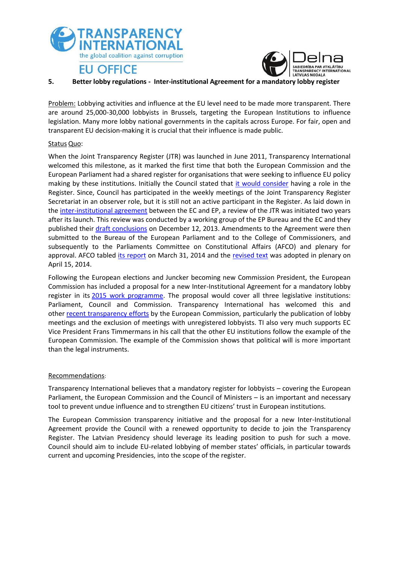



#### **5. Better lobby regulations - Inter-institutional Agreement for a mandatory lobby register**

Problem: Lobbying activities and influence at the EU level need to be made more transparent. There are around 25,000-30,000 lobbyists in Brussels, targeting the European Institutions to influence legislation. Many more lobby national governments in the capitals across Europe. For fair, open and transparent EU decision-making it is crucial that their influence is made public.

### Status Quo:

When the Joint Transparency Register (JTR) was launched in June 2011, Transparency International welcomed this milestone, as it marked the first time that both the European Commission and the European Parliament had a shared register for organisations that were seeking to influence EU policy making by these institutions. Initially the Council stated that [it would consider](http://register.consilium.europa.eu/doc/srv?l=EN&t=PDF&gc=true&sc=false&f=ST%2017208%202013%20INIT&r=http%3A%2F%2Fregister.consilium.europa.eu%2Fpd%2Fen%2F13%2Fst17%2Fst17208.en13.pdf) having a role in the Register. Since, Council has participated in the weekly meetings of the Joint Transparency Register Secretariat in an observer role, but it is still not an active participant in the Register. As laid down in th[e inter-institutional agreement](http://eur-lex.europa.eu/LexUriServ/LexUriServ.do?uri=OJ:L:2011:191:0029:0038:EN:PDF) between the EC and EP, a review of the JTR was initiated two years after its launch. This review was conducted by a working group of the EP Bureau and the EC and they published their [draft conclusions](http://ec.europa.eu/transparencyregister/public/homePage.do) on December 12, 2013. Amendments to the Agreement were then submitted to the Bureau of the European Parliament and to the College of Commissioners, and subsequently to the Parliaments Committee on Constitutional Affairs (AFCO) and plenary for approval. AFCO tabled [its report](http://www.europarl.europa.eu/sides/getDoc.do?type=REPORT&reference=A7-2014-0258&language=EN#title3) on March 31, 2014 and the [revised text](http://www.europarl.europa.eu/sides/getDoc.do?pubRef=-//EP//TEXT+TA+P7-TA-2014-0376+0+DOC+XML+V0//en) was adopted in plenary on April 15, 2014.

Following the European elections and Juncker becoming new Commission President, the European Commission has included a proposal for a new Inter-Institutional Agreement for a mandatory lobby register in its [2015 work programme.](http://ec.europa.eu/atwork/pdf/cwp_2015_en.pdf) The proposal would cover all three legislative institutions: Parliament, Council and Commission. Transparency International has welcomed this and other recent [transparency](http://www.transparencyinternational.eu/wp-content/uploads/2014/11/2014-11-20-PR-EC-Transparency-initiative-print.pdf) efforts by the European Commission, particularly the publication of lobby meetings and the exclusion of meetings with unregistered lobbyists. TI also very much supports EC Vice President Frans Timmermans in his call that the other EU institutions follow the example of the European Commission. The example of the Commission shows that political will is more important than the legal instruments.

### Recommendations:

Transparency International believes that a mandatory register for lobbyists – covering the European Parliament, the European Commission and the Council of Ministers – is an important and necessary tool to prevent undue influence and to strengthen EU citizens' trust in European institutions.

The European Commission transparency initiative and the proposal for a new Inter-Institutional Agreement provide the Council with a renewed opportunity to decide to join the Transparency Register. The Latvian Presidency should leverage its leading position to push for such a move. Council should aim to include EU-related lobbying of member states' officials, in particular towards current and upcoming Presidencies, into the scope of the register.